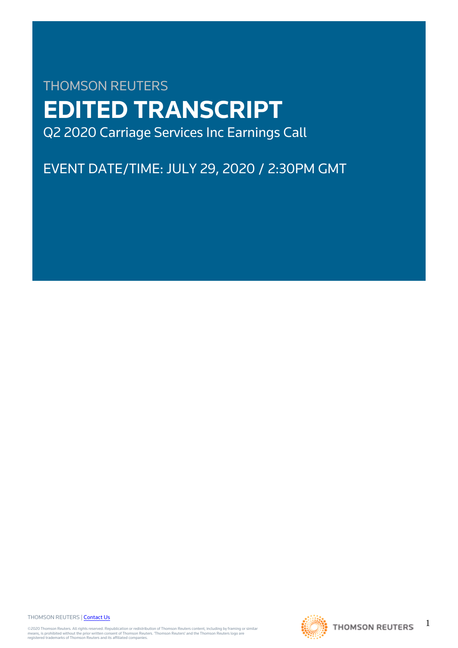# THOMSON REUTERS **EDITED TRANSCRIPT** Q2 2020 Carriage Services Inc Earnings Call

## EVENT DATE/TIME: JULY 29, 2020 / 2:30PM GMT

THOMSON REUTERS | [Contact Us](https://my.thomsonreuters.com/ContactUsNew)

©2020 Thomson Reuters. All rights reserved. Republication or redistribution of Thomson Reuters content, including by framing or similar<br>means, is prohibited without the prior written consent of Thomson Reuters. 'Thomson Re



1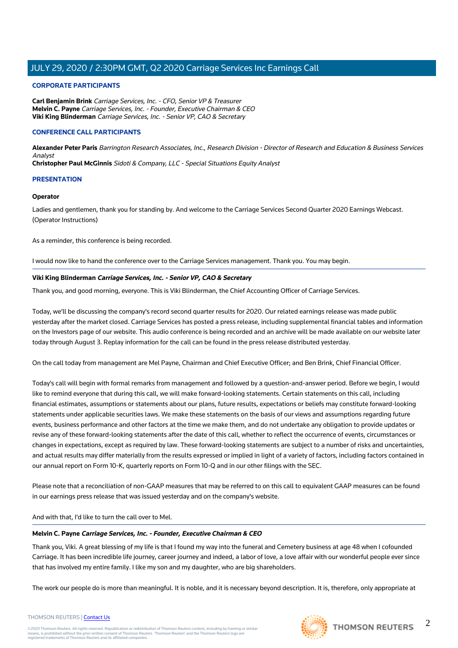#### **CORPORATE PARTICIPANTS**

**Carl Benjamin Brink** Carriage Services, Inc. - CFO, Senior VP & Treasurer **Melvin C. Payne** Carriage Services, Inc. - Founder, Executive Chairman & CEO **Viki King Blinderman** Carriage Services, Inc. - Senior VP, CAO & Secretary

#### **CONFERENCE CALL PARTICIPANTS**

**Alexander Peter Paris** Barrington Research Associates, Inc., Research Division - Director of Research and Education & Business Services Analyst **Christopher Paul McGinnis** Sidoti & Company, LLC - Special Situations Equity Analyst

#### **PRESENTATION**

#### **Operator**

Ladies and gentlemen, thank you for standing by. And welcome to the Carriage Services Second Quarter 2020 Earnings Webcast. (Operator Instructions)

As a reminder, this conference is being recorded.

I would now like to hand the conference over to the Carriage Services management. Thank you. You may begin.

#### **Viki King Blinderman Carriage Services, Inc. - Senior VP, CAO & Secretary**

Thank you, and good morning, everyone. This is Viki Blinderman, the Chief Accounting Officer of Carriage Services.

Today, we'll be discussing the company's record second quarter results for 2020. Our related earnings release was made public yesterday after the market closed. Carriage Services has posted a press release, including supplemental financial tables and information on the Investors page of our website. This audio conference is being recorded and an archive will be made available on our website later today through August 3. Replay information for the call can be found in the press release distributed yesterday.

On the call today from management are Mel Payne, Chairman and Chief Executive Officer; and Ben Brink, Chief Financial Officer.

Today's call will begin with formal remarks from management and followed by a question-and-answer period. Before we begin, I would like to remind everyone that during this call, we will make forward-looking statements. Certain statements on this call, including financial estimates, assumptions or statements about our plans, future results, expectations or beliefs may constitute forward-looking statements under applicable securities laws. We make these statements on the basis of our views and assumptions regarding future events, business performance and other factors at the time we make them, and do not undertake any obligation to provide updates or revise any of these forward-looking statements after the date of this call, whether to reflect the occurrence of events, circumstances or changes in expectations, except as required by law. These forward-looking statements are subject to a number of risks and uncertainties, and actual results may differ materially from the results expressed or implied in light of a variety of factors, including factors contained in our annual report on Form 10-K, quarterly reports on Form 10-Q and in our other filings with the SEC.

Please note that a reconciliation of non-GAAP measures that may be referred to on this call to equivalent GAAP measures can be found in our earnings press release that was issued yesterday and on the company's website.

And with that, I'd like to turn the call over to Mel.

#### **Melvin C. Payne Carriage Services, Inc. - Founder, Executive Chairman & CEO**

Thank you, Viki. A great blessing of my life is that I found my way into the funeral and Cemetery business at age 48 when I cofounded Carriage. It has been incredible life journey, career journey and indeed, a labor of love, a love affair with our wonderful people ever since that has involved my entire family. I like my son and my daughter, who are big shareholders.

The work our people do is more than meaningful. It is noble, and it is necessary beyond description. It is, therefore, only appropriate at

THOMSON REUTERS | [Contact Us](https://my.thomsonreuters.com/ContactUsNew)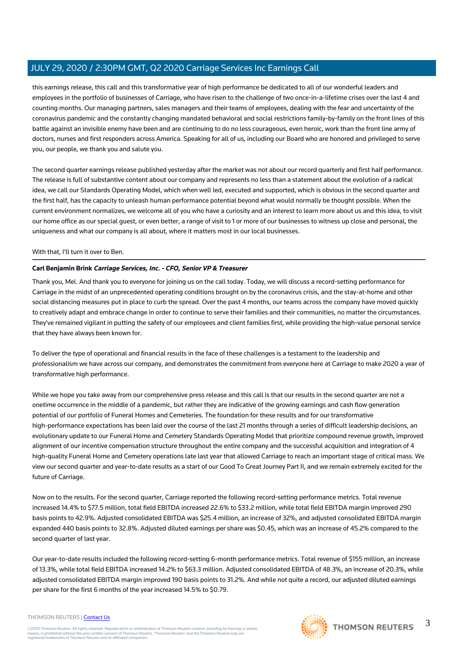this earnings release, this call and this transformative year of high performance be dedicated to all of our wonderful leaders and employees in the portfolio of businesses of Carriage, who have risen to the challenge of two once-in-a-lifetime crises over the last 4 and counting months. Our managing partners, sales managers and their teams of employees, dealing with the fear and uncertainty of the coronavirus pandemic and the constantly changing mandated behavioral and social restrictions family-by-family on the front lines of this battle against an invisible enemy have been and are continuing to do no less courageous, even heroic, work than the front line army of doctors, nurses and first responders across America. Speaking for all of us, including our Board who are honored and privileged to serve you, our people, we thank you and salute you.

The second quarter earnings release published yesterday after the market was not about our record quarterly and first half performance. The release is full of substantive content about our company and represents no less than a statement about the evolution of a radical idea, we call our Standards Operating Model, which when well led, executed and supported, which is obvious in the second quarter and the first half, has the capacity to unleash human performance potential beyond what would normally be thought possible. When the current environment normalizes, we welcome all of you who have a curiosity and an interest to learn more about us and this idea, to visit our home office as our special guest, or even better, a range of visit to 1 or more of our businesses to witness up close and personal, the uniqueness and what our company is all about, where it matters most in our local businesses.

#### With that, I'll turn it over to Ben.

#### **Carl Benjamin Brink Carriage Services, Inc. - CFO, Senior VP & Treasurer**

Thank you, Mel. And thank you to everyone for joining us on the call today. Today, we will discuss a record-setting performance for Carriage in the midst of an unprecedented operating conditions brought on by the coronavirus crisis, and the stay-at-home and other social distancing measures put in place to curb the spread. Over the past 4 months, our teams across the company have moved quickly to creatively adapt and embrace change in order to continue to serve their families and their communities, no matter the circumstances. They've remained vigilant in putting the safety of our employees and client families first, while providing the high-value personal service that they have always been known for.

To deliver the type of operational and financial results in the face of these challenges is a testament to the leadership and professionalism we have across our company, and demonstrates the commitment from everyone here at Carriage to make 2020 a year of transformative high performance.

While we hope you take away from our comprehensive press release and this call is that our results in the second quarter are not a onetime occurrence in the middle of a pandemic, but rather they are indicative of the growing earnings and cash flow generation potential of our portfolio of Funeral Homes and Cemeteries. The foundation for these results and for our transformative high-performance expectations has been laid over the course of the last 21 months through a series of difficult leadership decisions, an evolutionary update to our Funeral Home and Cemetery Standards Operating Model that prioritize compound revenue growth, improved alignment of our incentive compensation structure throughout the entire company and the successful acquisition and integration of 4 high-quality Funeral Home and Cemetery operations late last year that allowed Carriage to reach an important stage of critical mass. We view our second quarter and year-to-date results as a start of our Good To Great Journey Part II, and we remain extremely excited for the future of Carriage.

Now on to the results. For the second quarter, Carriage reported the following record-setting performance metrics. Total revenue increased 14.4% to \$77.5 million, total field EBITDA increased 22.6% to \$33.2 million, while total field EBITDA margin improved 290 basis points to 42.9%. Adjusted consolidated EBITDA was \$25.4 million, an increase of 32%, and adjusted consolidated EBITDA margin expanded 440 basis points to 32.8%. Adjusted diluted earnings per share was \$0.45, which was an increase of 45.2% compared to the second quarter of last year.

Our year-to-date results included the following record-setting 6-month performance metrics. Total revenue of \$155 million, an increase of 13.3%, while total field EBITDA increased 14.2% to \$63.3 million. Adjusted consolidated EBITDA of 48.3%, an increase of 20.3%, while adjusted consolidated EBITDA margin improved 190 basis points to 31.2%. And while not quite a record, our adjusted diluted earnings per share for the first 6 months of the year increased 14.5% to \$0.79.

#### THOMSON REUTERS | [Contact Us](https://my.thomsonreuters.com/ContactUsNew)

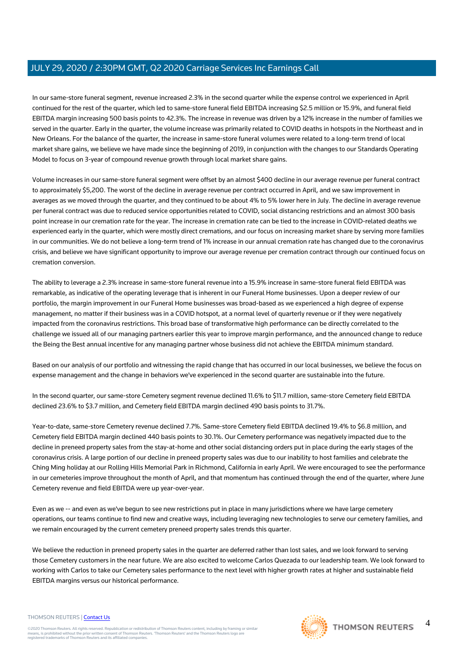In our same-store funeral segment, revenue increased 2.3% in the second quarter while the expense control we experienced in April continued for the rest of the quarter, which led to same-store funeral field EBITDA increasing \$2.5 million or 15.9%, and funeral field EBITDA margin increasing 500 basis points to 42.3%. The increase in revenue was driven by a 12% increase in the number of families we served in the quarter. Early in the quarter, the volume increase was primarily related to COVID deaths in hotspots in the Northeast and in New Orleans. For the balance of the quarter, the increase in same-store funeral volumes were related to a long-term trend of local market share gains, we believe we have made since the beginning of 2019, in conjunction with the changes to our Standards Operating Model to focus on 3-year of compound revenue growth through local market share gains.

Volume increases in our same-store funeral segment were offset by an almost \$400 decline in our average revenue per funeral contract to approximately \$5,200. The worst of the decline in average revenue per contract occurred in April, and we saw improvement in averages as we moved through the quarter, and they continued to be about 4% to 5% lower here in July. The decline in average revenue per funeral contract was due to reduced service opportunities related to COVID, social distancing restrictions and an almost 300 basis point increase in our cremation rate for the year. The increase in cremation rate can be tied to the increase in COVID-related deaths we experienced early in the quarter, which were mostly direct cremations, and our focus on increasing market share by serving more families in our communities. We do not believe a long-term trend of 1% increase in our annual cremation rate has changed due to the coronavirus crisis, and believe we have significant opportunity to improve our average revenue per cremation contract through our continued focus on cremation conversion.

The ability to leverage a 2.3% increase in same-store funeral revenue into a 15.9% increase in same-store funeral field EBITDA was remarkable, as indicative of the operating leverage that is inherent in our Funeral Home businesses. Upon a deeper review of our portfolio, the margin improvement in our Funeral Home businesses was broad-based as we experienced a high degree of expense management, no matter if their business was in a COVID hotspot, at a normal level of quarterly revenue or if they were negatively impacted from the coronavirus restrictions. This broad base of transformative high performance can be directly correlated to the challenge we issued all of our managing partners earlier this year to improve margin performance, and the announced change to reduce the Being the Best annual incentive for any managing partner whose business did not achieve the EBITDA minimum standard.

Based on our analysis of our portfolio and witnessing the rapid change that has occurred in our local businesses, we believe the focus on expense management and the change in behaviors we've experienced in the second quarter are sustainable into the future.

In the second quarter, our same-store Cemetery segment revenue declined 11.6% to \$11.7 million, same-store Cemetery field EBITDA declined 23.6% to \$3.7 million, and Cemetery field EBITDA margin declined 490 basis points to 31.7%.

Year-to-date, same-store Cemetery revenue declined 7.7%. Same-store Cemetery field EBITDA declined 19.4% to \$6.8 million, and Cemetery field EBITDA margin declined 440 basis points to 30.1%. Our Cemetery performance was negatively impacted due to the decline in preneed property sales from the stay-at-home and other social distancing orders put in place during the early stages of the coronavirus crisis. A large portion of our decline in preneed property sales was due to our inability to host families and celebrate the Ching Ming holiday at our Rolling Hills Memorial Park in Richmond, California in early April. We were encouraged to see the performance in our cemeteries improve throughout the month of April, and that momentum has continued through the end of the quarter, where June Cemetery revenue and field EBITDA were up year-over-year.

Even as we -- and even as we've begun to see new restrictions put in place in many jurisdictions where we have large cemetery operations, our teams continue to find new and creative ways, including leveraging new technologies to serve our cemetery families, and we remain encouraged by the current cemetery preneed property sales trends this quarter.

We believe the reduction in preneed property sales in the quarter are deferred rather than lost sales, and we look forward to serving those Cemetery customers in the near future. We are also excited to welcome Carlos Quezada to our leadership team. We look forward to working with Carlos to take our Cemetery sales performance to the next level with higher growth rates at higher and sustainable field EBITDA margins versus our historical performance.

#### THOMSON REUTERS | [Contact Us](https://my.thomsonreuters.com/ContactUsNew)

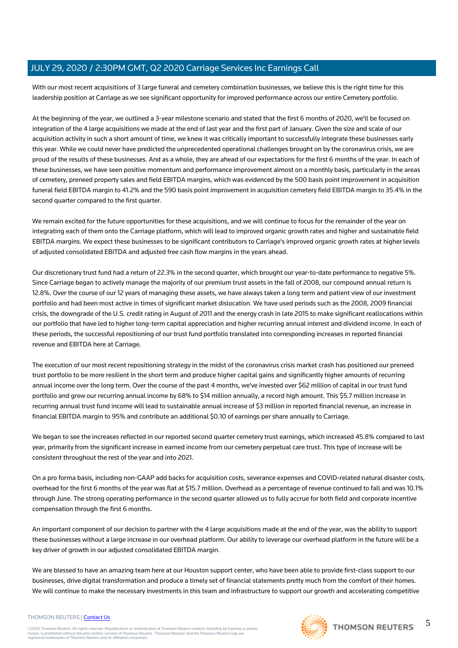With our most recent acquisitions of 3 large funeral and cemetery combination businesses, we believe this is the right time for this leadership position at Carriage as we see significant opportunity for improved performance across our entire Cemetery portfolio.

At the beginning of the year, we outlined a 3-year milestone scenario and stated that the first 6 months of 2020, we'll be focused on integration of the 4 large acquisitions we made at the end of last year and the first part of January. Given the size and scale of our acquisition activity in such a short amount of time, we knew it was critically important to successfully integrate these businesses early this year. While we could never have predicted the unprecedented operational challenges brought on by the coronavirus crisis, we are proud of the results of these businesses. And as a whole, they are ahead of our expectations for the first 6 months of the year. In each of these businesses, we have seen positive momentum and performance improvement almost on a monthly basis, particularly in the areas of cemetery, preneed property sales and field EBITDA margins, which was evidenced by the 500 basis point improvement in acquisition funeral field EBITDA margin to 41.2% and the 590 basis point improvement in acquisition cemetery field EBITDA margin to 35.4% in the second quarter compared to the first quarter.

We remain excited for the future opportunities for these acquisitions, and we will continue to focus for the remainder of the year on integrating each of them onto the Carriage platform, which will lead to improved organic growth rates and higher and sustainable field EBITDA margins. We expect these businesses to be significant contributors to Carriage's improved organic growth rates at higher levels of adjusted consolidated EBITDA and adjusted free cash flow margins in the years ahead.

Our discretionary trust fund had a return of 22.3% in the second quarter, which brought our year-to-date performance to negative 5%. Since Carriage began to actively manage the majority of our premium trust assets in the fall of 2008, our compound annual return is 12.8%. Over the course of our 12 years of managing these assets, we have always taken a long term and patient view of our investment portfolio and had been most active in times of significant market dislocation. We have used periods such as the 2008, 2009 financial crisis, the downgrade of the U.S. credit rating in August of 2011 and the energy crash in late 2015 to make significant reallocations within our portfolio that have led to higher long-term capital appreciation and higher recurring annual interest and dividend income. In each of these periods, the successful repositioning of our trust fund portfolio translated into corresponding increases in reported financial revenue and EBITDA here at Carriage.

The execution of our most recent repositioning strategy in the midst of the coronavirus crisis market crash has positioned our preneed trust portfolio to be more resilient in the short term and produce higher capital gains and significantly higher amounts of recurring annual income over the long term. Over the course of the past 4 months, we've invested over \$62 million of capital in our trust fund portfolio and grew our recurring annual income by 68% to \$14 million annually, a record high amount. This \$5.7 million increase in recurring annual trust fund income will lead to sustainable annual increase of \$3 million in reported financial revenue, an increase in financial EBITDA margin to 95% and contribute an additional \$0.10 of earnings per share annually to Carriage.

We began to see the increases reflected in our reported second quarter cemetery trust earnings, which increased 45.8% compared to last year, primarily from the significant increase in earned income from our cemetery perpetual care trust. This type of increase will be consistent throughout the rest of the year and into 2021.

On a pro forma basis, including non-GAAP add backs for acquisition costs, severance expenses and COVID-related natural disaster costs, overhead for the first 6 months of the year was flat at \$15.7 million. Overhead as a percentage of revenue continued to fall and was 10.1% through June. The strong operating performance in the second quarter allowed us to fully accrue for both field and corporate incentive compensation through the first 6 months.

An important component of our decision to partner with the 4 large acquisitions made at the end of the year, was the ability to support these businesses without a large increase in our overhead platform. Our ability to leverage our overhead platform in the future will be a key driver of growth in our adjusted consolidated EBITDA margin.

We are blessed to have an amazing team here at our Houston support center, who have been able to provide first-class support to our businesses, drive digital transformation and produce a timely set of financial statements pretty much from the comfort of their homes. We will continue to make the necessary investments in this team and infrastructure to support our growth and accelerating competitive

#### THOMSON REUTERS | [Contact Us](https://my.thomsonreuters.com/ContactUsNew)

©2020 Thomson Reuters. All rights reserved. Republication or redistribution of Thomson Reuters content, including by framing or similar<br>means, is prohibited without the prior written consent of Thomson Reuters. 'Thomson Re



5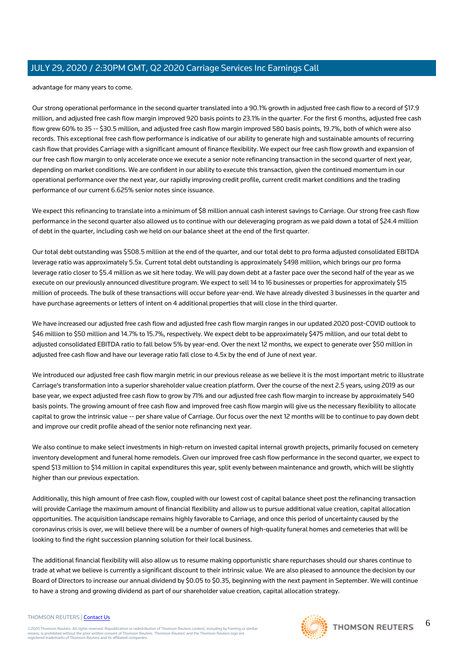advantage for many years to come.

Our strong operational performance in the second quarter translated into a 90.1% growth in adjusted free cash flow to a record of \$17.9 million, and adjusted free cash flow margin improved 920 basis points to 23.1% in the quarter. For the first 6 months, adjusted free cash flow grew 60% to 35 -- \$30.5 million, and adjusted free cash flow margin improved 580 basis points, 19.7%, both of which were also records. This exceptional free cash flow performance is indicative of our ability to generate high and sustainable amounts of recurring cash flow that provides Carriage with a significant amount of finance flexibility. We expect our free cash flow growth and expansion of our free cash flow margin to only accelerate once we execute a senior note refinancing transaction in the second quarter of next year, depending on market conditions. We are confident in our ability to execute this transaction, given the continued momentum in our operational performance over the next year, our rapidly improving credit profile, current credit market conditions and the trading performance of our current 6.625% senior notes since issuance.

We expect this refinancing to translate into a minimum of \$8 million annual cash interest savings to Carriage. Our strong free cash flow performance in the second quarter also allowed us to continue with our deleveraging program as we paid down a total of \$24.4 million of debt in the quarter, including cash we held on our balance sheet at the end of the first quarter.

Our total debt outstanding was \$508.5 million at the end of the quarter, and our total debt to pro forma adjusted consolidated EBITDA leverage ratio was approximately 5.5x. Current total debt outstanding is approximately \$498 million, which brings our pro forma leverage ratio closer to \$5.4 million as we sit here today. We will pay down debt at a faster pace over the second half of the year as we execute on our previously announced divestiture program. We expect to sell 14 to 16 businesses or properties for approximately \$15 million of proceeds. The bulk of these transactions will occur before year-end. We have already divested 3 businesses in the quarter and have purchase agreements or letters of intent on 4 additional properties that will close in the third quarter.

We have increased our adjusted free cash flow and adjusted free cash flow margin ranges in our updated 2020 post-COVID outlook to \$46 million to \$50 million and 14.7% to 15.7%, respectively. We expect debt to be approximately \$475 million, and our total debt to adjusted consolidated EBITDA ratio to fall below 5% by year-end. Over the next 12 months, we expect to generate over \$50 million in adjusted free cash flow and have our leverage ratio fall close to 4.5x by the end of June of next year.

We introduced our adjusted free cash flow margin metric in our previous release as we believe it is the most important metric to illustrate Carriage's transformation into a superior shareholder value creation platform. Over the course of the next 2.5 years, using 2019 as our base year, we expect adjusted free cash flow to grow by 71% and our adjusted free cash flow margin to increase by approximately 540 basis points. The growing amount of free cash flow and improved free cash flow margin will give us the necessary flexibility to allocate capital to grow the intrinsic value -- per share value of Carriage. Our focus over the next 12 months will be to continue to pay down debt and improve our credit profile ahead of the senior note refinancing next year.

We also continue to make select investments in high-return on invested capital internal growth projects, primarily focused on cemetery inventory development and funeral home remodels. Given our improved free cash flow performance in the second quarter, we expect to spend \$13 million to \$14 million in capital expenditures this year, split evenly between maintenance and growth, which will be slightly higher than our previous expectation.

Additionally, this high amount of free cash flow, coupled with our lowest cost of capital balance sheet post the refinancing transaction will provide Carriage the maximum amount of financial flexibility and allow us to pursue additional value creation, capital allocation opportunities. The acquisition landscape remains highly favorable to Carriage, and once this period of uncertainty caused by the coronavirus crisis is over, we will believe there will be a number of owners of high-quality funeral homes and cemeteries that will be looking to find the right succession planning solution for their local business.

The additional financial flexibility will also allow us to resume making opportunistic share repurchases should our shares continue to trade at what we believe is currently a significant discount to their intrinsic value. We are also pleased to announce the decision by our Board of Directors to increase our annual dividend by \$0.05 to \$0.35, beginning with the next payment in September. We will continue to have a strong and growing dividend as part of our shareholder value creation, capital allocation strategy.

#### THOMSON REUTERS | [Contact Us](https://my.thomsonreuters.com/ContactUsNew)

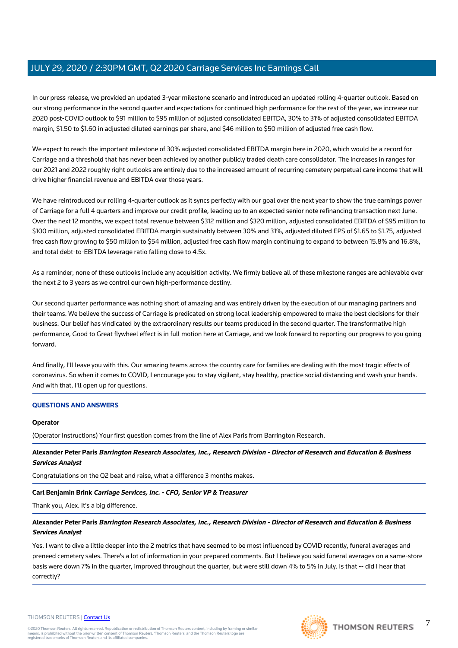In our press release, we provided an updated 3-year milestone scenario and introduced an updated rolling 4-quarter outlook. Based on our strong performance in the second quarter and expectations for continued high performance for the rest of the year, we increase our 2020 post-COVID outlook to \$91 million to \$95 million of adjusted consolidated EBITDA, 30% to 31% of adjusted consolidated EBITDA margin, \$1.50 to \$1.60 in adjusted diluted earnings per share, and \$46 million to \$50 million of adjusted free cash flow.

We expect to reach the important milestone of 30% adjusted consolidated EBITDA margin here in 2020, which would be a record for Carriage and a threshold that has never been achieved by another publicly traded death care consolidator. The increases in ranges for our 2021 and 2022 roughly right outlooks are entirely due to the increased amount of recurring cemetery perpetual care income that will drive higher financial revenue and EBITDA over those years.

We have reintroduced our rolling 4-quarter outlook as it syncs perfectly with our goal over the next year to show the true earnings power of Carriage for a full 4 quarters and improve our credit profile, leading up to an expected senior note refinancing transaction next June. Over the next 12 months, we expect total revenue between \$312 million and \$320 million, adjusted consolidated EBITDA of \$95 million to \$100 million, adjusted consolidated EBITDA margin sustainably between 30% and 31%, adjusted diluted EPS of \$1.65 to \$1.75, adjusted free cash flow growing to \$50 million to \$54 million, adjusted free cash flow margin continuing to expand to between 15.8% and 16.8%, and total debt-to-EBITDA leverage ratio falling close to 4.5x.

As a reminder, none of these outlooks include any acquisition activity. We firmly believe all of these milestone ranges are achievable over the next 2 to 3 years as we control our own high-performance destiny.

Our second quarter performance was nothing short of amazing and was entirely driven by the execution of our managing partners and their teams. We believe the success of Carriage is predicated on strong local leadership empowered to make the best decisions for their business. Our belief has vindicated by the extraordinary results our teams produced in the second quarter. The transformative high performance, Good to Great flywheel effect is in full motion here at Carriage, and we look forward to reporting our progress to you going forward.

And finally, I'll leave you with this. Our amazing teams across the country care for families are dealing with the most tragic effects of coronavirus. So when it comes to COVID, I encourage you to stay vigilant, stay healthy, practice social distancing and wash your hands. And with that, I'll open up for questions.

#### **QUESTIONS AND ANSWERS**

#### **Operator**

(Operator Instructions) Your first question comes from the line of Alex Paris from Barrington Research.

**Alexander Peter Paris Barrington Research Associates, Inc., Research Division - Director of Research and Education & Business Services Analyst**

Congratulations on the Q2 beat and raise, what a difference 3 months makes.

#### **Carl Benjamin Brink Carriage Services, Inc. - CFO, Senior VP & Treasurer**

Thank you, Alex. It's a big difference.

#### **Alexander Peter Paris Barrington Research Associates, Inc., Research Division - Director of Research and Education & Business Services Analyst**

Yes. I want to dive a little deeper into the 2 metrics that have seemed to be most influenced by COVID recently, funeral averages and preneed cemetery sales. There's a lot of information in your prepared comments. But I believe you said funeral averages on a same-store basis were down 7% in the quarter, improved throughout the quarter, but were still down 4% to 5% in July. Is that -- did I hear that correctly?



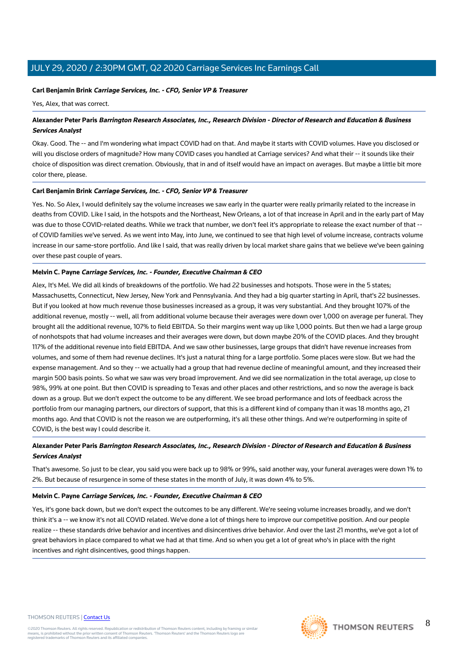#### **Carl Benjamin Brink Carriage Services, Inc. - CFO, Senior VP & Treasurer**

Yes, Alex, that was correct.

#### **Alexander Peter Paris Barrington Research Associates, Inc., Research Division - Director of Research and Education & Business Services Analyst**

Okay. Good. The -- and I'm wondering what impact COVID had on that. And maybe it starts with COVID volumes. Have you disclosed or will you disclose orders of magnitude? How many COVID cases you handled at Carriage services? And what their -- it sounds like their choice of disposition was direct cremation. Obviously, that in and of itself would have an impact on averages. But maybe a little bit more color there, please.

#### **Carl Benjamin Brink Carriage Services, Inc. - CFO, Senior VP & Treasurer**

Yes. No. So Alex, I would definitely say the volume increases we saw early in the quarter were really primarily related to the increase in deaths from COVID. Like I said, in the hotspots and the Northeast, New Orleans, a lot of that increase in April and in the early part of May was due to those COVID-related deaths. While we track that number, we don't feel it's appropriate to release the exact number of that -of COVID families we've served. As we went into May, into June, we continued to see that high level of volume increase, contracts volume increase in our same-store portfolio. And like I said, that was really driven by local market share gains that we believe we've been gaining over these past couple of years.

#### **Melvin C. Payne Carriage Services, Inc. - Founder, Executive Chairman & CEO**

Alex, It's Mel. We did all kinds of breakdowns of the portfolio. We had 22 businesses and hotspots. Those were in the 5 states; Massachusetts, Connecticut, New Jersey, New York and Pennsylvania. And they had a big quarter starting in April, that's 22 businesses. But if you looked at how much revenue those businesses increased as a group, it was very substantial. And they brought 107% of the additional revenue, mostly -- well, all from additional volume because their averages were down over 1,000 on average per funeral. They brought all the additional revenue, 107% to field EBITDA. So their margins went way up like 1,000 points. But then we had a large group of nonhotspots that had volume increases and their averages were down, but down maybe 20% of the COVID places. And they brought 117% of the additional revenue into field EBITDA. And we saw other businesses, large groups that didn't have revenue increases from volumes, and some of them had revenue declines. It's just a natural thing for a large portfolio. Some places were slow. But we had the expense management. And so they -- we actually had a group that had revenue decline of meaningful amount, and they increased their margin 500 basis points. So what we saw was very broad improvement. And we did see normalization in the total average, up close to 98%, 99% at one point. But then COVID is spreading to Texas and other places and other restrictions, and so now the average is back down as a group. But we don't expect the outcome to be any different. We see broad performance and lots of feedback across the portfolio from our managing partners, our directors of support, that this is a different kind of company than it was 18 months ago, 21 months ago. And that COVID is not the reason we are outperforming, it's all these other things. And we're outperforming in spite of COVID, is the best way I could describe it.

#### **Alexander Peter Paris Barrington Research Associates, Inc., Research Division - Director of Research and Education & Business Services Analyst**

That's awesome. So just to be clear, you said you were back up to 98% or 99%, said another way, your funeral averages were down 1% to 2%. But because of resurgence in some of these states in the month of July, it was down 4% to 5%.

#### **Melvin C. Payne Carriage Services, Inc. - Founder, Executive Chairman & CEO**

Yes, it's gone back down, but we don't expect the outcomes to be any different. We're seeing volume increases broadly, and we don't think it's a -- we know it's not all COVID related. We've done a lot of things here to improve our competitive position. And our people realize -- these standards drive behavior and incentives and disincentives drive behavior. And over the last 21 months, we've got a lot of great behaviors in place compared to what we had at that time. And so when you get a lot of great who's in place with the right incentives and right disincentives, good things happen.

#### THOMSON REUTERS | [Contact Us](https://my.thomsonreuters.com/ContactUsNew)

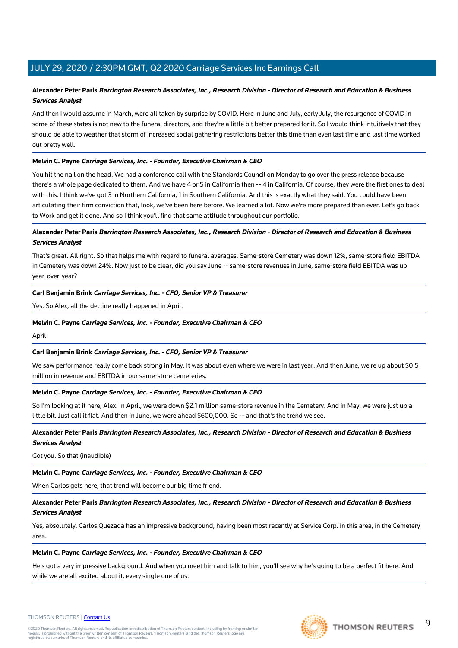#### **Alexander Peter Paris Barrington Research Associates, Inc., Research Division - Director of Research and Education & Business Services Analyst**

And then I would assume in March, were all taken by surprise by COVID. Here in June and July, early July, the resurgence of COVID in some of these states is not new to the funeral directors, and they're a little bit better prepared for it. So I would think intuitively that they should be able to weather that storm of increased social gathering restrictions better this time than even last time and last time worked out pretty well.

#### **Melvin C. Payne Carriage Services, Inc. - Founder, Executive Chairman & CEO**

You hit the nail on the head. We had a conference call with the Standards Council on Monday to go over the press release because there's a whole page dedicated to them. And we have 4 or 5 in California then -- 4 in California. Of course, they were the first ones to deal with this. I think we've got 3 in Northern California, 1 in Southern California. And this is exactly what they said. You could have been articulating their firm conviction that, look, we've been here before. We learned a lot. Now we're more prepared than ever. Let's go back to Work and get it done. And so I think you'll find that same attitude throughout our portfolio.

#### **Alexander Peter Paris Barrington Research Associates, Inc., Research Division - Director of Research and Education & Business Services Analyst**

That's great. All right. So that helps me with regard to funeral averages. Same-store Cemetery was down 12%, same-store field EBITDA in Cemetery was down 24%. Now just to be clear, did you say June -- same-store revenues in June, same-store field EBITDA was up year-over-year?

#### **Carl Benjamin Brink Carriage Services, Inc. - CFO, Senior VP & Treasurer**

Yes. So Alex, all the decline really happened in April.

#### **Melvin C. Payne Carriage Services, Inc. - Founder, Executive Chairman & CEO**

April.

#### **Carl Benjamin Brink Carriage Services, Inc. - CFO, Senior VP & Treasurer**

We saw performance really come back strong in May. It was about even where we were in last year. And then June, we're up about \$0.5 million in revenue and EBITDA in our same-store cemeteries.

#### **Melvin C. Payne Carriage Services, Inc. - Founder, Executive Chairman & CEO**

So I'm looking at it here, Alex. In April, we were down \$2.1 million same-store revenue in the Cemetery. And in May, we were just up a little bit. Just call it flat. And then in June, we were ahead \$600,000. So -- and that's the trend we see.

#### **Alexander Peter Paris Barrington Research Associates, Inc., Research Division - Director of Research and Education & Business Services Analyst**

Got you. So that (inaudible)

#### **Melvin C. Payne Carriage Services, Inc. - Founder, Executive Chairman & CEO**

When Carlos gets here, that trend will become our big time friend.

#### **Alexander Peter Paris Barrington Research Associates, Inc., Research Division - Director of Research and Education & Business Services Analyst**

Yes, absolutely. Carlos Quezada has an impressive background, having been most recently at Service Corp. in this area, in the Cemetery area.

#### **Melvin C. Payne Carriage Services, Inc. - Founder, Executive Chairman & CEO**

He's got a very impressive background. And when you meet him and talk to him, you'll see why he's going to be a perfect fit here. And while we are all excited about it, every single one of us.



©2020 Thomson Reuters. All rights reserved. Republication or redistribution of Thomson Reuters content, including by framing or similar<br>means, is prohibited without the prior written consent of Thomson Reuters. 'Thomson Re



 $\overline{Q}$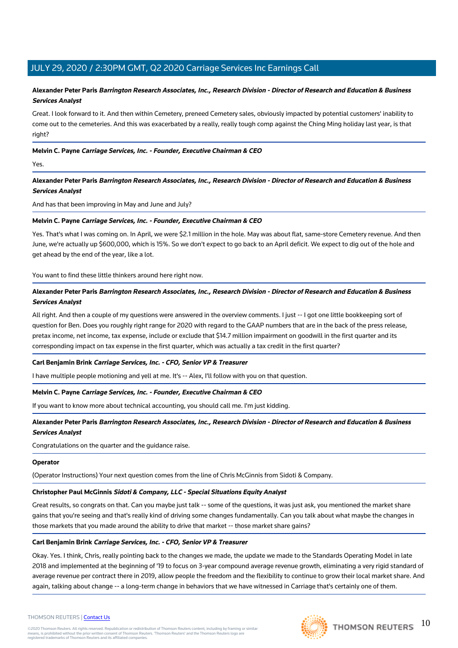#### **Alexander Peter Paris Barrington Research Associates, Inc., Research Division - Director of Research and Education & Business Services Analyst**

Great. I look forward to it. And then within Cemetery, preneed Cemetery sales, obviously impacted by potential customers' inability to come out to the cemeteries. And this was exacerbated by a really, really tough comp against the Ching Ming holiday last year, is that right?

#### **Melvin C. Payne Carriage Services, Inc. - Founder, Executive Chairman & CEO**

Yes.

#### **Alexander Peter Paris Barrington Research Associates, Inc., Research Division - Director of Research and Education & Business Services Analyst**

And has that been improving in May and June and July?

#### **Melvin C. Payne Carriage Services, Inc. - Founder, Executive Chairman & CEO**

Yes. That's what I was coming on. In April, we were \$2.1 million in the hole. May was about flat, same-store Cemetery revenue. And then June, we're actually up \$600,000, which is 15%. So we don't expect to go back to an April deficit. We expect to dig out of the hole and get ahead by the end of the year, like a lot.

You want to find these little thinkers around here right now.

#### **Alexander Peter Paris Barrington Research Associates, Inc., Research Division - Director of Research and Education & Business Services Analyst**

All right. And then a couple of my questions were answered in the overview comments. I just -- I got one little bookkeeping sort of question for Ben. Does you roughly right range for 2020 with regard to the GAAP numbers that are in the back of the press release, pretax income, net income, tax expense, include or exclude that \$14.7 million impairment on goodwill in the first quarter and its corresponding impact on tax expense in the first quarter, which was actually a tax credit in the first quarter?

#### **Carl Benjamin Brink Carriage Services, Inc. - CFO, Senior VP & Treasurer**

I have multiple people motioning and yell at me. It's -- Alex, I'll follow with you on that question.

#### **Melvin C. Payne Carriage Services, Inc. - Founder, Executive Chairman & CEO**

If you want to know more about technical accounting, you should call me. I'm just kidding.

#### **Alexander Peter Paris Barrington Research Associates, Inc., Research Division - Director of Research and Education & Business Services Analyst**

Congratulations on the quarter and the guidance raise.

#### **Operator**

(Operator Instructions) Your next question comes from the line of Chris McGinnis from Sidoti & Company.

#### **Christopher Paul McGinnis Sidoti & Company, LLC - Special Situations Equity Analyst**

Great results, so congrats on that. Can you maybe just talk -- some of the questions, it was just ask, you mentioned the market share gains that you're seeing and that's really kind of driving some changes fundamentally. Can you talk about what maybe the changes in those markets that you made around the ability to drive that market -- those market share gains?

#### **Carl Benjamin Brink Carriage Services, Inc. - CFO, Senior VP & Treasurer**

Okay. Yes. I think, Chris, really pointing back to the changes we made, the update we made to the Standards Operating Model in late 2018 and implemented at the beginning of '19 to focus on 3-year compound average revenue growth, eliminating a very rigid standard of average revenue per contract there in 2019, allow people the freedom and the flexibility to continue to grow their local market share. And again, talking about change -- a long-term change in behaviors that we have witnessed in Carriage that's certainly one of them.

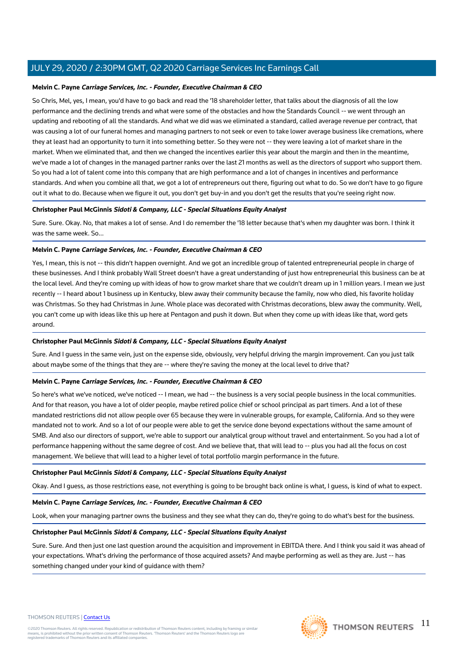#### **Melvin C. Payne Carriage Services, Inc. - Founder, Executive Chairman & CEO**

So Chris, Mel, yes, I mean, you'd have to go back and read the '18 shareholder letter, that talks about the diagnosis of all the low performance and the declining trends and what were some of the obstacles and how the Standards Council -- we went through an updating and rebooting of all the standards. And what we did was we eliminated a standard, called average revenue per contract, that was causing a lot of our funeral homes and managing partners to not seek or even to take lower average business like cremations, where they at least had an opportunity to turn it into something better. So they were not -- they were leaving a lot of market share in the market. When we eliminated that, and then we changed the incentives earlier this year about the margin and then in the meantime, we've made a lot of changes in the managed partner ranks over the last 21 months as well as the directors of support who support them. So you had a lot of talent come into this company that are high performance and a lot of changes in incentives and performance standards. And when you combine all that, we got a lot of entrepreneurs out there, figuring out what to do. So we don't have to go figure out it what to do. Because when we figure it out, you don't get buy-in and you don't get the results that you're seeing right now.

#### **Christopher Paul McGinnis Sidoti & Company, LLC - Special Situations Equity Analyst**

Sure. Sure. Okay. No, that makes a lot of sense. And I do remember the '18 letter because that's when my daughter was born. I think it was the same week. So...

#### **Melvin C. Payne Carriage Services, Inc. - Founder, Executive Chairman & CEO**

Yes, I mean, this is not -- this didn't happen overnight. And we got an incredible group of talented entrepreneurial people in charge of these businesses. And I think probably Wall Street doesn't have a great understanding of just how entrepreneurial this business can be at the local level. And they're coming up with ideas of how to grow market share that we couldn't dream up in 1 million years. I mean we just recently -- I heard about 1 business up in Kentucky, blew away their community because the family, now who died, his favorite holiday was Christmas. So they had Christmas in June. Whole place was decorated with Christmas decorations, blew away the community. Well, you can't come up with ideas like this up here at Pentagon and push it down. But when they come up with ideas like that, word gets around.

#### **Christopher Paul McGinnis Sidoti & Company, LLC - Special Situations Equity Analyst**

Sure. And I guess in the same vein, just on the expense side, obviously, very helpful driving the margin improvement. Can you just talk about maybe some of the things that they are -- where they're saving the money at the local level to drive that?

#### **Melvin C. Payne Carriage Services, Inc. - Founder, Executive Chairman & CEO**

So here's what we've noticed, we've noticed -- I mean, we had -- the business is a very social people business in the local communities. And for that reason, you have a lot of older people, maybe retired police chief or school principal as part timers. And a lot of these mandated restrictions did not allow people over 65 because they were in vulnerable groups, for example, California. And so they were mandated not to work. And so a lot of our people were able to get the service done beyond expectations without the same amount of SMB. And also our directors of support, we're able to support our analytical group without travel and entertainment. So you had a lot of performance happening without the same degree of cost. And we believe that, that will lead to -- plus you had all the focus on cost management. We believe that will lead to a higher level of total portfolio margin performance in the future.

#### **Christopher Paul McGinnis Sidoti & Company, LLC - Special Situations Equity Analyst**

Okay. And I guess, as those restrictions ease, not everything is going to be brought back online is what, I guess, is kind of what to expect.

#### **Melvin C. Payne Carriage Services, Inc. - Founder, Executive Chairman & CEO**

Look, when your managing partner owns the business and they see what they can do, they're going to do what's best for the business.

#### **Christopher Paul McGinnis Sidoti & Company, LLC - Special Situations Equity Analyst**

Sure. Sure. And then just one last question around the acquisition and improvement in EBITDA there. And I think you said it was ahead of your expectations. What's driving the performance of those acquired assets? And maybe performing as well as they are. Just -- has something changed under your kind of guidance with them?

#### THOMSON REUTERS | [Contact Us](https://my.thomsonreuters.com/ContactUsNew)

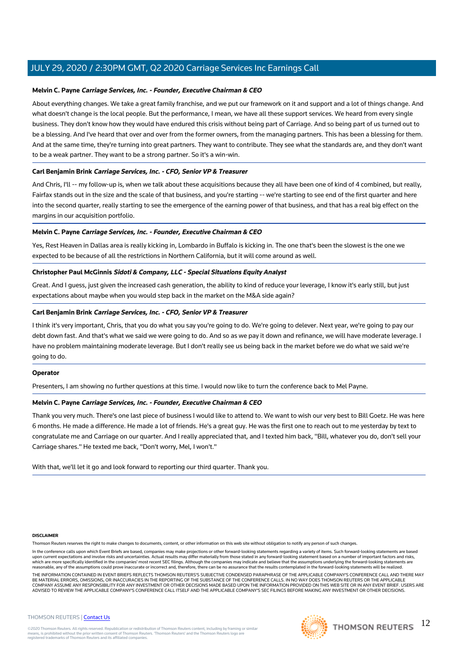#### **Melvin C. Payne Carriage Services, Inc. - Founder, Executive Chairman & CEO**

About everything changes. We take a great family franchise, and we put our framework on it and support and a lot of things change. And what doesn't change is the local people. But the performance, I mean, we have all these support services. We heard from every single business. They don't know how they would have endured this crisis without being part of Carriage. And so being part of us turned out to be a blessing. And I've heard that over and over from the former owners, from the managing partners. This has been a blessing for them. And at the same time, they're turning into great partners. They want to contribute. They see what the standards are, and they don't want to be a weak partner. They want to be a strong partner. So it's a win-win.

#### **Carl Benjamin Brink Carriage Services, Inc. - CFO, Senior VP & Treasurer**

And Chris, I'll -- my follow-up is, when we talk about these acquisitions because they all have been one of kind of 4 combined, but really, Fairfax stands out in the size and the scale of that business, and you're starting -- we're starting to see end of the first quarter and here into the second quarter, really starting to see the emergence of the earning power of that business, and that has a real big effect on the margins in our acquisition portfolio.

#### **Melvin C. Payne Carriage Services, Inc. - Founder, Executive Chairman & CEO**

Yes, Rest Heaven in Dallas area is really kicking in, Lombardo in Buffalo is kicking in. The one that's been the slowest is the one we expected to be because of all the restrictions in Northern California, but it will come around as well.

#### **Christopher Paul McGinnis Sidoti & Company, LLC - Special Situations Equity Analyst**

Great. And I guess, just given the increased cash generation, the ability to kind of reduce your leverage, I know it's early still, but just expectations about maybe when you would step back in the market on the M&A side again?

#### **Carl Benjamin Brink Carriage Services, Inc. - CFO, Senior VP & Treasurer**

I think it's very important, Chris, that you do what you say you're going to do. We're going to delever. Next year, we're going to pay our debt down fast. And that's what we said we were going to do. And so as we pay it down and refinance, we will have moderate leverage. I have no problem maintaining moderate leverage. But I don't really see us being back in the market before we do what we said we're going to do.

#### **Operator**

Presenters, I am showing no further questions at this time. I would now like to turn the conference back to Mel Payne.

#### **Melvin C. Payne Carriage Services, Inc. - Founder, Executive Chairman & CEO**

Thank you very much. There's one last piece of business I would like to attend to. We want to wish our very best to Bill Goetz. He was here 6 months. He made a difference. He made a lot of friends. He's a great guy. He was the first one to reach out to me yesterday by text to congratulate me and Carriage on our quarter. And I really appreciated that, and I texted him back, "Bill, whatever you do, don't sell your Carriage shares." He texted me back, "Don't worry, Mel, I won't."

With that, we'll let it go and look forward to reporting our third quarter. Thank you.

#### **DISCLAIMER**

Thomson Reuters reserves the right to make changes to documents, content, or other information on this web site without obligation to notify any person of such changes.

In the conference calls upon which Event Briefs are based, companies may make projections or other forward-looking statements regarding a variety of items. Such forward-looking statements are based upon current expectations and involve risks and uncertainties. Actual results may differ materially from those stated in any forward-looking statement based on a number of important factors and risks,<br>which are more specif reasonable, any of the assumptions could prove inaccurate or incorrect and, therefore, there can be no assurance that the results contemplated in the forward-looking statements will be realized.

THE INFORMATION CONTAINED IN EVENT BRIEFS REFLECTS THOMSON REUTERS'S SUBJECTIVE CONDENSED PARAPHRASE OF THE APPLICABLE COMPANY'S CONFERENCE CALL AND THERE MAY BE MATERIAL ERRORS, OMISSIONS, OR INACCURACIES IN THE REPORTING OF THE SUBSTANCE OF THE CONFERENCE CALLS. IN NO WAY DOES THOMSON REUTERS OR THE APPLICABLE COMPANY ASSUME ANY RESPONSIBILITY FOR ANY INVESTMENT OR OTHER DECISIONS MADE BASED UPON THE INFORMATION PROVIDED ON THIS WEB SITE OR IN ANY EVENT BRIEF. USERS ARE<br>ADVISED TO REVIEW THE APPLICABLE COMPANY'S CONFERENCE CALL